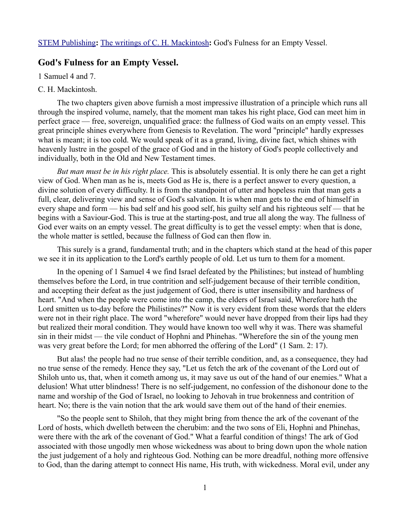[STEM Publishing](http://www.stempublishing.com/)**:** [The writings of C. H. Mackintosh](http://www.stempublishing.com/authors/mackintosh/index.html)**:** God's Fulness for an Empty Vessel.

## **God's Fulness for an Empty Vessel.**

1 Samuel 4 and 7.

## C. H. Mackintosh.

The two chapters given above furnish a most impressive illustration of a principle which runs all through the inspired volume, namely, that the moment man takes his right place, God can meet him in perfect grace — free, sovereign, unqualified grace: the fullness of God waits on an empty vessel. This great principle shines everywhere from Genesis to Revelation. The word "principle" hardly expresses what is meant; it is too cold. We would speak of it as a grand, living, divine fact, which shines with heavenly lustre in the gospel of the grace of God and in the history of God's people collectively and individually, both in the Old and New Testament times.

*But man must be in his right place.* This is absolutely essential. It is only there he can get a right view of God. When man as he is, meets God as He is, there is a perfect answer to every question, a divine solution of every difficulty. It is from the standpoint of utter and hopeless ruin that man gets a full, clear, delivering view and sense of God's salvation. It is when man gets to the end of himself in every shape and form — his bad self and his good self, his guilty self and his righteous self — that he begins with a Saviour-God. This is true at the starting-post, and true all along the way. The fullness of God ever waits on an empty vessel. The great difficulty is to get the vessel empty: when that is done, the whole matter is settled, because the fullness of God can then flow in.

This surely is a grand, fundamental truth; and in the chapters which stand at the head of this paper we see it in its application to the Lord's earthly people of old. Let us turn to them for a moment.

In the opening of 1 Samuel 4 we find Israel defeated by the Philistines; but instead of humbling themselves before the Lord, in true contrition and self-judgement because of their terrible condition, and accepting their defeat as the just judgement of God, there is utter insensibility and hardness of heart. "And when the people were come into the camp, the elders of Israel said, Wherefore hath the Lord smitten us to-day before the Philistines?" Now it is very evident from these words that the elders were not in their right place. The word "wherefore" would never have dropped from their lips had they but realized their moral condition. They would have known too well why it was. There was shameful sin in their midst — the vile conduct of Hophni and Phinehas. "Wherefore the sin of the young men was very great before the Lord; for men abhorred the offering of the Lord" (1 Sam. 2: 17).

But alas! the people had no true sense of their terrible condition, and, as a consequence, they had no true sense of the remedy. Hence they say, "Let us fetch the ark of the covenant of the Lord out of Shiloh unto us, that, when it cometh among us, it may save us out of the hand of our enemies." What a delusion! What utter blindness! There is no self-judgement, no confession of the dishonour done to the name and worship of the God of Israel, no looking to Jehovah in true brokenness and contrition of heart. No; there is the vain notion that the ark would save them out of the hand of their enemies.

"So the people sent to Shiloh, that they might bring from thence the ark of the covenant of the Lord of hosts, which dwelleth between the cherubim: and the two sons of Eli, Hophni and Phinehas, were there with the ark of the covenant of God." What a fearful condition of things! The ark of God associated with those ungodly men whose wickedness was about to bring down upon the whole nation the just judgement of a holy and righteous God. Nothing can be more dreadful, nothing more offensive to God, than the daring attempt to connect His name, His truth, with wickedness. Moral evil, under any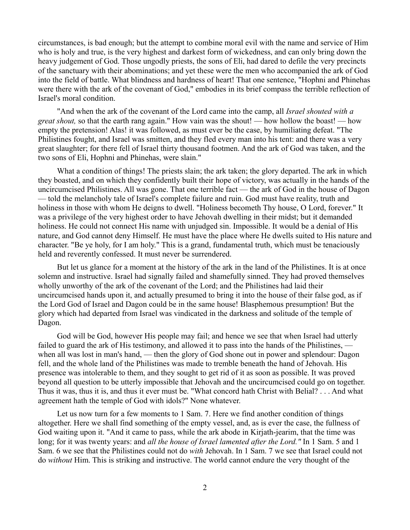circumstances, is bad enough; but the attempt to combine moral evil with the name and service of Him who is holy and true, is the very highest and darkest form of wickedness, and can only bring down the heavy judgement of God. Those ungodly priests, the sons of Eli, had dared to defile the very precincts of the sanctuary with their abominations; and yet these were the men who accompanied the ark of God into the field of battle. What blindness and hardness of heart! That one sentence, "Hophni and Phinehas were there with the ark of the covenant of God," embodies in its brief compass the terrible reflection of Israel's moral condition.

"And when the ark of the covenant of the Lord came into the camp, all *Israel shouted with a great shout,* so that the earth rang again." How vain was the shout! — how hollow the boast! — how empty the pretension! Alas! it was followed, as must ever be the case, by humiliating defeat. "The Philistines fought, and Israel was smitten, and they fled every man into his tent: and there was a very great slaughter; for there fell of Israel thirty thousand footmen. And the ark of God was taken, and the two sons of Eli, Hophni and Phinehas, were slain."

What a condition of things! The priests slain; the ark taken; the glory departed. The ark in which they boasted, and on which they confidently built their hope of victory, was actually in the hands of the uncircumcised Philistines. All was gone. That one terrible fact — the ark of God in the house of Dagon — told the melancholy tale of Israel's complete failure and ruin. God must have reality, truth and holiness in those with whom He deigns to dwell. "Holiness becometh Thy house, O Lord, forever." It was a privilege of the very highest order to have Jehovah dwelling in their midst; but it demanded holiness. He could not connect His name with unjudged sin. Impossible. It would be a denial of His nature, and God cannot deny Himself. He must have the place where He dwells suited to His nature and character. "Be ye holy, for I am holy." This is a grand, fundamental truth, which must be tenaciously held and reverently confessed. It must never be surrendered.

But let us glance for a moment at the history of the ark in the land of the Philistines. It is at once solemn and instructive. Israel had signally failed and shamefully sinned. They had proved themselves wholly unworthy of the ark of the covenant of the Lord; and the Philistines had laid their uncircumcised hands upon it, and actually presumed to bring it into the house of their false god, as if the Lord God of Israel and Dagon could be in the same house! Blasphemous presumption! But the glory which had departed from Israel was vindicated in the darkness and solitude of the temple of Dagon.

God will be God, however His people may fail; and hence we see that when Israel had utterly failed to guard the ark of His testimony, and allowed it to pass into the hands of the Philistines, when all was lost in man's hand, — then the glory of God shone out in power and splendour: Dagon fell, and the whole land of the Philistines was made to tremble beneath the hand of Jehovah. His presence was intolerable to them, and they sought to get rid of it as soon as possible. It was proved beyond all question to be utterly impossible that Jehovah and the uncircumcised could go on together. Thus it was, thus it is, and thus it ever must be. "What concord hath Christ with Belial? . . . And what agreement hath the temple of God with idols?" None whatever.

Let us now turn for a few moments to 1 Sam. 7. Here we find another condition of things altogether. Here we shall find something of the empty vessel, and, as is ever the case, the fullness of God waiting upon it. "And it came to pass, while the ark abode in Kirjath-jearim, that the time was long; for it was twenty years: and *all the house of Israel lamented after the Lord."* In 1 Sam. 5 and 1 Sam. 6 we see that the Philistines could not do *with* Jehovah. In 1 Sam. 7 we see that Israel could not do *without* Him. This is striking and instructive. The world cannot endure the very thought of the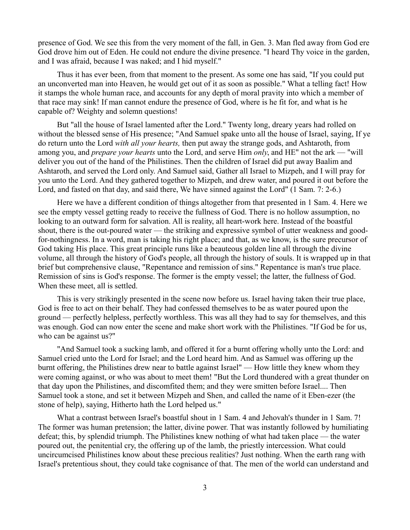presence of God. We see this from the very moment of the fall, in Gen. 3. Man fled away from God ere God drove him out of Eden. He could not endure the divine presence. "I heard Thy voice in the garden, and I was afraid, because I was naked; and I hid myself."

Thus it has ever been, from that moment to the present. As some one has said, "If you could put an unconverted man into Heaven, he would get out of it as soon as possible." What a telling fact! How it stamps the whole human race, and accounts for any depth of moral pravity into which a member of that race may sink! If man cannot endure the presence of God, where is he fit for, and what is he capable of? Weighty and solemn questions!

But "all the house of Israel lamented after the Lord." Twenty long, dreary years had rolled on without the blessed sense of His presence; "And Samuel spake unto all the house of Israel, saying, If ye do return unto the Lord *with all your hearts,* then put away the strange gods, and Ashtaroth, from among you, and *prepare your hearts* unto the Lord, and serve Him *only*, and HE" not the ark — "will deliver you out of the hand of the Philistines. Then the children of Israel did put away Baalim and Ashtaroth, and served the Lord only. And Samuel said, Gather all Israel to Mizpeh, and I will pray for you unto the Lord. And they gathered together to Mizpeh, and drew water, and poured it out before the Lord, and fasted on that day, and said there, We have sinned against the Lord" (1 Sam. 7: 2-6.)

Here we have a different condition of things altogether from that presented in 1 Sam. 4. Here we see the empty vessel getting ready to receive the fullness of God. There is no hollow assumption, no looking to an outward form for salvation. All is reality, all heart-work here. Instead of the boastful shout, there is the out-poured water — the striking and expressive symbol of utter weakness and goodfor-nothingness. In a word, man is taking his right place; and that, as we know, is the sure precursor of God taking His place. This great principle runs like a beauteous golden line all through the divine volume, all through the history of God's people, all through the history of souls. It is wrapped up in that brief but comprehensive clause, "Repentance and remission of sins." Repentance is man's true place. Remission of sins is God's response. The former is the empty vessel; the latter, the fullness of God. When these meet, all is settled.

This is very strikingly presented in the scene now before us. Israel having taken their true place, God is free to act on their behalf. They had confessed themselves to be as water poured upon the ground — perfectly helpless, perfectly worthless. This was all they had to say for themselves, and this was enough. God can now enter the scene and make short work with the Philistines. "If God be for us, who can be against us?"

"And Samuel took a sucking lamb, and offered it for a burnt offering wholly unto the Lord: and Samuel cried unto the Lord for Israel; and the Lord heard him. And as Samuel was offering up the burnt offering, the Philistines drew near to battle against Israel" — How little they knew whom they were coming against, or who was about to meet them! "But the Lord thundered with a great thunder on that day upon the Philistines, and discomfited them; and they were smitten before Israel.... Then Samuel took a stone, and set it between Mizpeh and Shen, and called the name of it Eben-ezer (the stone of help), saying, Hitherto hath the Lord helped us."

What a contrast between Israel's boastful shout in 1 Sam. 4 and Jehovah's thunder in 1 Sam. 7! The former was human pretension; the latter, divine power. That was instantly followed by humiliating defeat; this, by splendid triumph. The Philistines knew nothing of what had taken place — the water poured out, the penitential cry, the offering up of the lamb, the priestly intercession. What could uncircumcised Philistines know about these precious realities? Just nothing. When the earth rang with Israel's pretentious shout, they could take cognisance of that. The men of the world can understand and